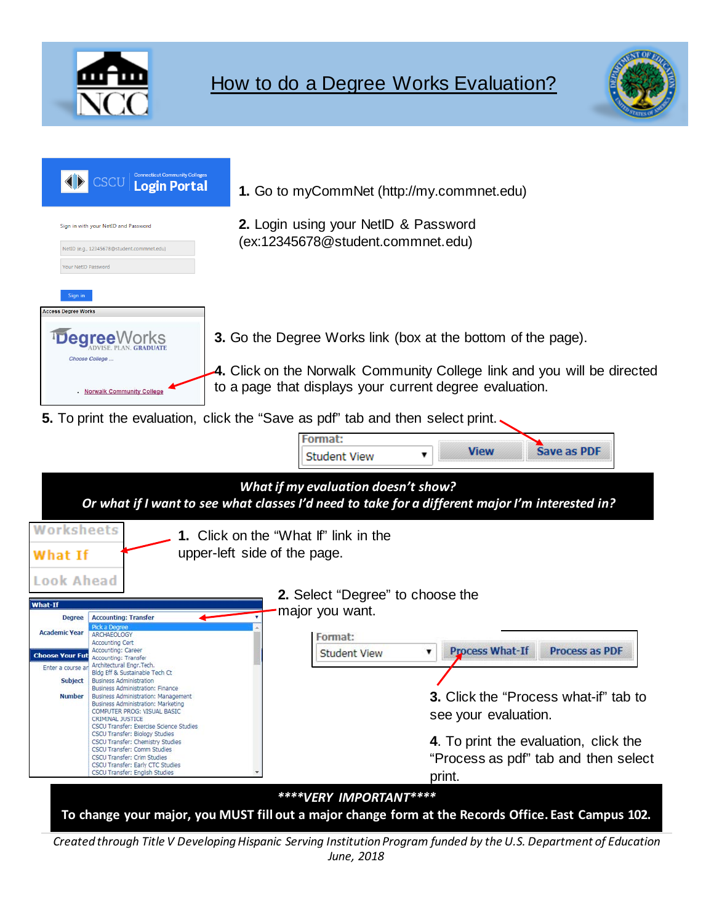



| <b>Connecticut Community Colleges</b><br><b>Login Portal</b><br>Sign in with your NetID and Password<br>NetID (e.g., 12345678@student.commnet.edu)<br>Your NetID Password                                                                                                                                                                                                                                                                                                                                                                                                                                                                                                                                                                                                                                                    | 1. Go to myCommNet (http://my.commnet.edu)<br>2. Login using your NetID & Password<br>(ex:12345678@student.commnet.edu)                                                                                                                                                                                                                                                                                                                                                                                      |  |  |
|------------------------------------------------------------------------------------------------------------------------------------------------------------------------------------------------------------------------------------------------------------------------------------------------------------------------------------------------------------------------------------------------------------------------------------------------------------------------------------------------------------------------------------------------------------------------------------------------------------------------------------------------------------------------------------------------------------------------------------------------------------------------------------------------------------------------------|--------------------------------------------------------------------------------------------------------------------------------------------------------------------------------------------------------------------------------------------------------------------------------------------------------------------------------------------------------------------------------------------------------------------------------------------------------------------------------------------------------------|--|--|
| Sign in<br><b>Access Degree Works</b><br>Choose College<br><b>Norwalk Community College</b><br>Worksheets                                                                                                                                                                                                                                                                                                                                                                                                                                                                                                                                                                                                                                                                                                                    | <b>3.</b> Go the Degree Works link (box at the bottom of the page).<br>4. Click on the Norwalk Community College link and you will be directed<br>to a page that displays your current degree evaluation.<br>5. To print the evaluation, click the "Save as pdf" tab and then select print.<br>Format:<br><b>Save as PDF</b><br><b>View</b><br><b>Student View</b><br>What if my evaluation doesn't show?<br>Or what if I want to see what classes I'd need to take for a different major I'm interested in? |  |  |
| What If<br>Look Ahead<br>What-If<br><b>Accounting: Transfer</b><br><b>Degree</b><br>Pick a Degree<br><b>Academic Year</b><br>ARCHAEOLOGY<br><b>Accounting Cert</b><br>Accounting: Career<br><b>Choose Your Fut</b><br>Accounting: Transfer<br>Architectural Engr. Tech.<br>Enter a course an<br>Bldg Eff & Sustainable Tech Ct<br>Subject<br><b>Business Administration</b><br>Business Administration: Finance<br><b>Number</b><br>Business Administration: Management<br>Business Administration: Marketing<br>COMPUTER PROG: VISUAL BASIC<br>CRIMINAL JUSTICE<br>CSCU Transfer: Exercise Science Studies<br>CSCU Transfer: Biology Studies<br>CSCU Transfer: Chemistry Studies<br>CSCU Transfer: Comm Studies<br><b>CSCU Transfer: Crim Studies</b><br>CSCU Transfer: Early CTC Studies<br>CSCU Transfer: English Studies | <b>1.</b> Click on the "What If" link in the<br>upper-left side of the page.<br>2. Select "Degree" to choose the<br>major you want.<br>Format:<br><b>Process What-If</b><br><b>Process as PDF</b><br><b>Student View</b><br>▼<br><b>3.</b> Click the "Process what-if" tab to<br>see your evaluation.<br>4. To print the evaluation, click the<br>"Process as pdf" tab and then select<br>print.                                                                                                             |  |  |
|                                                                                                                                                                                                                                                                                                                                                                                                                                                                                                                                                                                                                                                                                                                                                                                                                              | ****VERY IMPORTANT****<br>To change your major, you MUST fill out a major change form at the Records Office. East Campus 102.<br>Created through Title V Developing Hispanic Serving Institution Program funded by the U.S. Department of Education<br>June, 2018                                                                                                                                                                                                                                            |  |  |